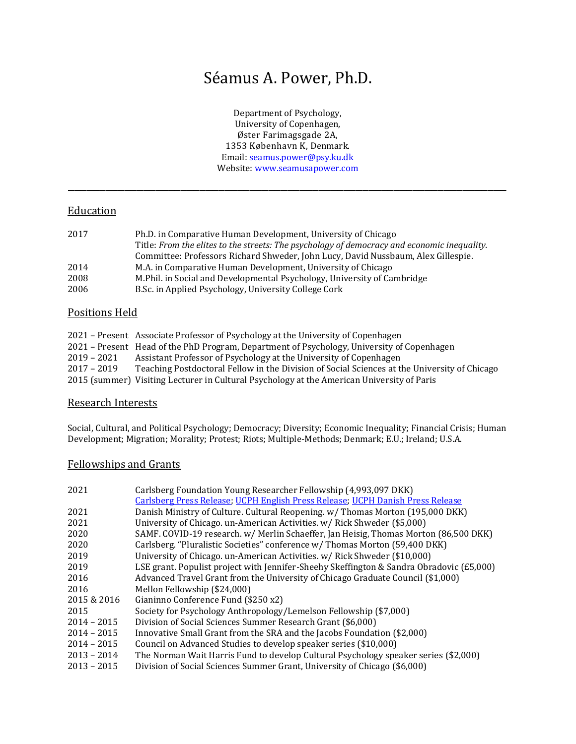# Séamus A. Power, Ph.D.

Department of Psychology, University of Copenhagen, Øster Farimagsgade 2A, 1353 København K, Denmark. Email: [seamus.power@psy.ku.dk](mailto:seamus.power@psy.ku.dk) Website: [www.seamusapower.com](http://www.seamusapower.com/)

\_\_\_\_\_\_\_\_\_\_\_\_\_\_\_\_\_\_\_\_\_\_\_\_\_\_\_\_\_\_\_\_\_\_\_\_\_\_\_\_\_\_\_\_\_\_\_\_\_\_\_\_\_\_\_\_\_\_\_\_\_\_\_\_\_\_\_\_\_\_

# **Education**

| 2017 | Ph.D. in Comparative Human Development, University of Chicago                               |
|------|---------------------------------------------------------------------------------------------|
|      | Title: From the elites to the streets: The psychology of democracy and economic inequality. |
|      | Committee: Professors Richard Shweder, John Lucy, David Nussbaum, Alex Gillespie.           |
| 2014 | M.A. in Comparative Human Development, University of Chicago                                |
| 2008 | M. Phil. in Social and Developmental Psychology, University of Cambridge                    |
| 2006 | B.Sc. in Applied Psychology, University College Cork                                        |

# Positions Held

|               | 2021 – Present Associate Professor of Psychology at the University of Copenhagen             |
|---------------|----------------------------------------------------------------------------------------------|
|               | 2021 – Present Head of the PhD Program, Department of Psychology, University of Copenhagen   |
| $2019 - 2021$ | Assistant Professor of Psychology at the University of Copenhagen                            |
| $2017 - 2019$ | Teaching Postdoctoral Fellow in the Division of Social Sciences at the University of Chicago |
|               | 2015 (summer) Visiting Lecturer in Cultural Psychology at the American University of Paris   |

# Research Interests

Social, Cultural, and Political Psychology; Democracy; Diversity; Economic Inequality; Financial Crisis; Human Development; Migration; Morality; Protest; Riots; Multiple-Methods; Denmark; E.U.; Ireland; U.S.A.

# Fellowships and Grants

| 2021          | Carlsberg Foundation Young Researcher Fellowship (4,993,097 DKK)<br>Carlsberg Press Release; UCPH English Press Release; UCPH Danish Press Release |
|---------------|----------------------------------------------------------------------------------------------------------------------------------------------------|
| 2021          | Danish Ministry of Culture. Cultural Reopening. w/ Thomas Morton (195,000 DKK)                                                                     |
| 2021          | University of Chicago. un-American Activities. w/ Rick Shweder (\$5,000)                                                                           |
| 2020          | SAMF. COVID-19 research. w/ Merlin Schaeffer, Jan Heisig, Thomas Morton (86,500 DKK)                                                               |
| 2020          | Carlsberg. "Pluralistic Societies" conference w/ Thomas Morton (59,400 DKK)                                                                        |
| 2019          | University of Chicago. un-American Activities. w/ Rick Shweder (\$10,000)                                                                          |
| 2019          | LSE grant. Populist project with Jennifer-Sheehy Skeffington & Sandra Obradovic (£5,000)                                                           |
| 2016          | Advanced Travel Grant from the University of Chicago Graduate Council (\$1,000)                                                                    |
| 2016          | Mellon Fellowship (\$24,000)                                                                                                                       |
| 2015 & 2016   | Gianinno Conference Fund (\$250 x2)                                                                                                                |
| 2015          | Society for Psychology Anthropology/Lemelson Fellowship (\$7,000)                                                                                  |
| $2014 - 2015$ | Division of Social Sciences Summer Research Grant (\$6,000)                                                                                        |
| 2014 - 2015   | Innovative Small Grant from the SRA and the Jacobs Foundation (\$2,000)                                                                            |
| 2014 - 2015   | Council on Advanced Studies to develop speaker series (\$10,000)                                                                                   |
| $2013 - 2014$ | The Norman Wait Harris Fund to develop Cultural Psychology speaker series (\$2,000)                                                                |
| 2013 - 2015   | Division of Social Sciences Summer Grant, University of Chicago (\$6,000)                                                                          |
|               |                                                                                                                                                    |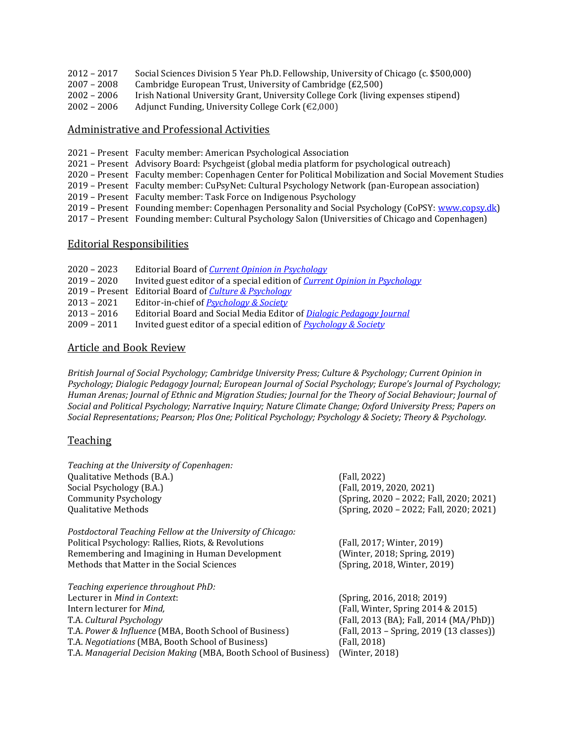- 2012 2017 Social Sciences Division 5 Year Ph.D. Fellowship, University of Chicago (c. \$500,000)
- 2007 2008 Cambridge European Trust, University of Cambridge (£2,500)
- 2002 2006 Irish National University Grant, University College Cork (living expenses stipend)
- 2002 2006 Adjunct Funding, University College Cork  $(\text{\textless}\,2,000)$

## Administrative and Professional Activities

- 2021 Present Faculty member: American Psychological Association
- 2021 Present Advisory Board: Psychgeist (global media platform for psychological outreach)
- 2020 Present Faculty member: Copenhagen Center for Political Mobilization and Social Movement Studies
- 2019 Present Faculty member: CuPsyNet: Cultural Psychology Network (pan-European association)
- 2019 Present Faculty member: Task Force on Indigenous Psychology
- 2019 Present Founding member: Copenhagen Personality and Social Psychology (CoPSY[: www.copsy.dk\)](http://www.copsy.dk/)
- 2017 Present Founding member: Cultural Psychology Salon (Universities of Chicago and Copenhagen)

# Editorial Responsibilities

| $2020 - 2023$ | Editorial Board of <i>Current Opinion in Psychology</i>                           |
|---------------|-----------------------------------------------------------------------------------|
| $2019 - 2020$ | Invited guest editor of a special edition of <i>Current Opinion in Psychology</i> |
|               | 2019 - Present Editorial Board of Culture & Psychology                            |
| $2013 - 2021$ | Editor-in-chief of <i>Psychology &amp; Society</i>                                |
| $2013 - 2016$ | Editorial Board and Social Media Editor of <i>Dialogic Pedagogy Journal</i>       |
| $2009 - 2011$ | Invited guest editor of a special edition of <b>Psychology &amp; Society</b>      |

# Article and Book Review

*British Journal of Social Psychology; Cambridge University Press; Culture & Psychology; Current Opinion in Psychology; Dialogic Pedagogy Journal; European Journal of Social Psychology; Europe's Journal of Psychology; Human Arenas; Journal of Ethnic and Migration Studies; Journal for the Theory of Social Behaviour; Journal of Social and Political Psychology; Narrative Inquiry; Nature Climate Change; Oxford University Press; Papers on Social Representations; Pearson; Plos One; Political Psychology; Psychology & Society; Theory & Psychology.* 

## **Teaching**

| Teaching at the University of Copenhagen:                       |                                          |
|-----------------------------------------------------------------|------------------------------------------|
| Qualitative Methods (B.A.)                                      | (Fall, 2022)                             |
| Social Psychology (B.A.)                                        | (Fall, 2019, 2020, 2021)                 |
| <b>Community Psychology</b>                                     | (Spring, 2020 - 2022; Fall, 2020; 2021)  |
| <b>Qualitative Methods</b>                                      | (Spring, 2020 - 2022; Fall, 2020; 2021)  |
| Postdoctoral Teaching Fellow at the University of Chicago:      |                                          |
| Political Psychology: Rallies, Riots, & Revolutions             | (Fall, 2017; Winter, 2019)               |
| Remembering and Imagining in Human Development                  | (Winter, 2018; Spring, 2019)             |
| Methods that Matter in the Social Sciences                      | (Spring, 2018, Winter, 2019)             |
| Teaching experience throughout PhD:                             |                                          |
| Lecturer in <i>Mind in Context</i> :                            | (Spring, 2016, 2018; 2019)               |
| Intern lecturer for <i>Mind</i> ,                               | (Fall, Winter, Spring 2014 & 2015)       |
| T.A. Cultural Psychology                                        | (Fall, 2013 (BA); Fall, 2014 (MA/PhD))   |
| T.A. Power & Influence (MBA, Booth School of Business)          | (Fall, 2013 - Spring, 2019 (13 classes)) |
| T.A. Negotiations (MBA, Booth School of Business)               | (Fall, 2018)                             |
| T.A. Managerial Decision Making (MBA, Booth School of Business) | (Winter, 2018)                           |
|                                                                 |                                          |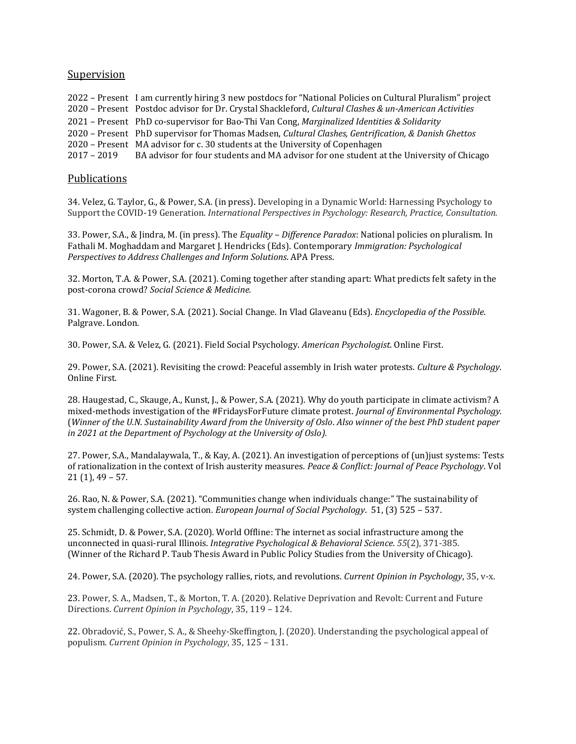## Supervision

– Present I am currently hiring 3 new postdocs for "National Policies on Cultural Pluralism" project – Present Postdoc advisor for Dr. Crystal Shackleford, *Cultural Clashes & un-American Activities* – Present PhD co-supervisor for Bao-Thi Van Cong, *Marginalized Identities & Solidarity* – Present PhD supervisor for Thomas Madsen, *Cultural Clashes, Gentrification, & Danish Ghettos* – Present MA advisor for c. 30 students at the University of Copenhagen – 2019 BA advisor for four students and MA advisor for one student at the University of Chicago

## **Publications**

34. Velez, G. Taylor, G., & Power, S.A. (in press). Developing in a Dynamic World: Harnessing Psychology to Support the COVID-19 Generation. *International Perspectives in Psychology: Research, Practice, Consultation.*

33. Power, S.A., & Jindra, M. (in press). The *Equality – Difference Paradox*: National policies on pluralism. In Fathali M. Moghaddam and Margaret J. Hendricks (Eds). Contemporary *Immigration: Psychological Perspectives to Address Challenges and Inform Solutions*. APA Press.

32. Morton, T.A. & Power, S.A. (2021). Coming together after standing apart: What predicts felt safety in the post-corona crowd? *Social Science & Medicine.*

31. Wagoner, B. & Power, S.A. (2021). Social Change. In Vlad Glaveanu (Eds). *Encyclopedia of the Possible*. Palgrave. London.

30. Power, S.A. & Velez, G. (2021). Field Social Psychology. *American Psychologist*. Online First.

29. Power, S.A. (2021). Revisiting the crowd: Peaceful assembly in Irish water protests. *Culture & Psychology*. Online First.

28. Haugestad, C., Skauge, A., Kunst, J., & Power, S.A. (2021). Why do youth participate in climate activism? A mixed-methods investigation of the #FridaysForFuture climate protest. *Journal of Environmental Psychology.*  (*Winner of the U.N. Sustainability Award from the University of Oslo*. *Also winner of the best PhD student paper in 2021 at the Department of Psychology at the University of Oslo).*

27. Power, S.A., Mandalaywala, T., & Kay, A. (2021). An investigation of perceptions of (un)just systems: Tests of rationalization in the context of Irish austerity measures. *Peace & Conflict: Journal of Peace Psychology*. Vol 21 (1), 49 – 57.

26. Rao, N. & Power, S.A. (2021). "Communities change when individuals change:" The sustainability of system challenging collective action. *European Journal of Social Psychology*. 51, (3) 525 – 537.

25. Schmidt, D. & Power, S.A. (2020). World Offline: The internet as social infrastructure among the unconnected in quasi-rural Illinois. *Integrative Psychological & Behavioral Science*. *55*(2), 371-385. (Winner of the Richard P. Taub Thesis Award in Public Policy Studies from the University of Chicago).

24. Power, S.A. (2020). The psychology rallies, riots, and revolutions. *Current Opinion in Psychology*, 35, v-x.

23. Power, S. A., Madsen, T., & Morton, T. A. (2020). Relative Deprivation and Revolt: Current and Future Directions. *Current Opinion in Psychology*, 35, 119 – 124.

22. Obradović, S., Power, S. A., & Sheehy-Skeffington, J. (2020). Understanding the psychological appeal of populism. *Current Opinion in Psychology*, 35, 125 – 131.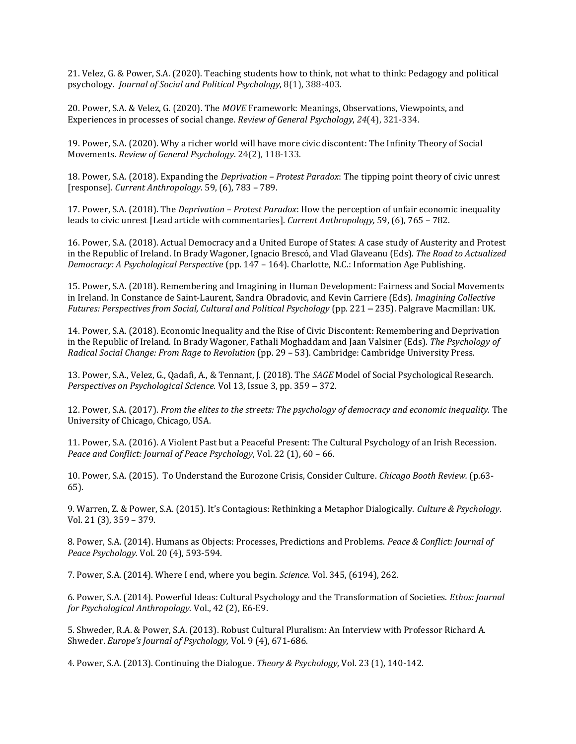21. Velez, G. & Power, S.A. (2020). Teaching students how to think, not what to think: Pedagogy and political psychology. *Journal of Social and Political Psychology*, 8(1), 388-403.

20. Power, S.A. & Velez, G. (2020). The *MOVE* Framework: Meanings, Observations, Viewpoints, and Experiences in processes of social change. *Review of General Psychology*, *24*(4), 321-334.

19. Power, S.A. (2020). Why a richer world will have more civic discontent: The Infinity Theory of Social Movements. *Review of General Psychology*. 24(2), 118-133.

18. Power, S.A. (2018). Expanding the *Deprivation – Protest Paradox*: The tipping point theory of civic unrest [response]. *Current Anthropology*. 59, (6), 783 – 789.

17. Power, S.A. (2018). The *Deprivation – Protest Paradox*: How the perception of unfair economic inequality leads to civic unrest [Lead article with commentaries]. *Current Anthropology,* 59, (6), 765 – 782.

16. Power, S.A. (2018). Actual Democracy and a United Europe of States: A case study of Austerity and Protest in the Republic of Ireland. In Brady Wagoner, Ignacio Brescó, and Vlad Glaveanu (Eds). *The Road to Actualized Democracy: A Psychological Perspective* (pp. 147 – 164). Charlotte, N.C.: Information Age Publishing.

15. Power, S.A. (2018). Remembering and Imagining in Human Development: Fairness and Social Movements in Ireland. In Constance de Saint-Laurent, Sandra Obradovic, and Kevin Carriere (Eds). *Imagining Collective Futures: Perspectives from Social, Cultural and Political Psychology* (pp. 221 – 235). Palgrave Macmillan: UK.

14. Power, S.A. (2018). Economic Inequality and the Rise of Civic Discontent: Remembering and Deprivation in the Republic of Ireland. In Brady Wagoner, Fathali Moghaddam and Jaan Valsiner (Eds). *The Psychology of Radical Social Change: From Rage to Revolution* (pp. 29 – 53). Cambridge: Cambridge University Press.

13. Power, S.A., Velez, G., Qadafi, A., & Tennant, J. (2018). The *SAGE* Model of Social Psychological Research. *Perspectives on Psychological Science.* Vol 13, Issue 3, pp. 359 – 372.

12. Power, S.A. (2017). *From the elites to the streets: The psychology of democracy and economic inequality.* The University of Chicago, Chicago, USA.

11. Power, S.A. (2016). A Violent Past but a Peaceful Present: The Cultural Psychology of an Irish Recession. *Peace and Conflict: Journal of Peace Psychology*, Vol. 22 (1), 60 – 66.

10. Power, S.A. (2015). To Understand the Eurozone Crisis, Consider Culture. *Chicago Booth Review.* (p.63- 65).

9. Warren, Z. & Power, S.A. (2015). It's Contagious: Rethinking a Metaphor Dialogically. *Culture & Psychology*. Vol. 21 (3), 359 – 379.

8. Power, S.A. (2014). Humans as Objects: Processes, Predictions and Problems. *Peace & Conflict: Journal of Peace Psychology.* Vol. 20 (4), 593-594.

7. Power, S.A. (2014). Where I end, where you begin. *Science*. Vol. 345, (6194), 262.

6. Power, S.A. (2014). Powerful Ideas: Cultural Psychology and the Transformation of Societies. *Ethos: Journal for Psychological Anthropology.* Vol., 42 (2), E6-E9.

5. Shweder, R.A. & Power, S.A. (2013). Robust Cultural Pluralism: An Interview with Professor Richard A. Shweder. *Europe's Journal of Psychology,* Vol. 9 (4), 671-686.

4. Power, S.A. (2013). Continuing the Dialogue. *Theory & Psychology*, Vol. 23 (1), 140-142.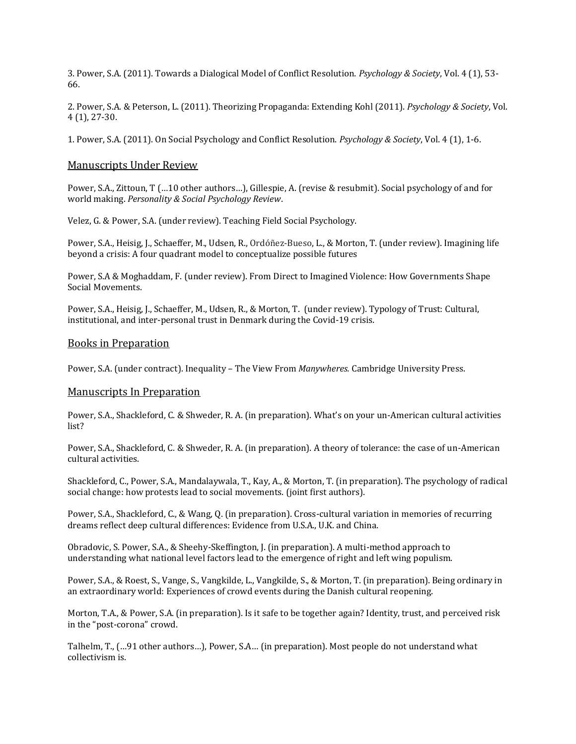3. Power, S.A. (2011). Towards a Dialogical Model of Conflict Resolution. *Psychology & Society*, Vol. 4 (1), 53- 66.

2. Power, S.A. & Peterson, L. (2011). Theorizing Propaganda: Extending Kohl (2011). *Psychology & Society*, Vol. 4 (1), 27-30.

1. Power, S.A. (2011). On Social Psychology and Conflict Resolution. *Psychology & Society*, Vol. 4 (1), 1-6.

### Manuscripts Under Review

Power, S.A., Zittoun, T (…10 other authors…), Gillespie, A. (revise & resubmit). Social psychology of and for world making. *Personality & Social Psychology Review*.

Velez, G. & Power, S.A. (under review). Teaching Field Social Psychology.

Power, S.A., Heisig, J., Schaeffer, M., Udsen, R., Ordóñez-Bueso, L., & Morton, T. (under review). Imagining life beyond a crisis: A four quadrant model to conceptualize possible futures

Power, S.A & Moghaddam, F. (under review). From Direct to Imagined Violence: How Governments Shape Social Movements.

Power, S.A., Heisig, J., Schaeffer, M., Udsen, R., & Morton, T. (under review). Typology of Trust: Cultural, institutional, and inter-personal trust in Denmark during the Covid-19 crisis.

#### Books in Preparation

Power, S.A. (under contract). Inequality – The View From *Manywheres.* Cambridge University Press.

#### Manuscripts In Preparation

Power, S.A., Shackleford, C. & Shweder, R. A. (in preparation). What's on your un-American cultural activities list?

Power, S.A., Shackleford, C. & Shweder, R. A. (in preparation). A theory of tolerance: the case of un-American cultural activities.

Shackleford, C., Power, S.A., Mandalaywala, T., Kay, A., & Morton, T. (in preparation). The psychology of radical social change: how protests lead to social movements. (joint first authors).

Power, S.A., Shackleford, C., & Wang, Q. (in preparation). Cross-cultural variation in memories of recurring dreams reflect deep cultural differences: Evidence from U.S.A., U.K. and China.

Obradovic, S. Power, S.A., & Sheehy-Skeffington, J. (in preparation). A multi-method approach to understanding what national level factors lead to the emergence of right and left wing populism.

Power, S.A., & Roest, S., Vange, S., Vangkilde, L., Vangkilde, S., & Morton, T. (in preparation). Being ordinary in an extraordinary world: Experiences of crowd events during the Danish cultural reopening.

Morton, T.A., & Power, S.A. (in preparation). Is it safe to be together again? Identity, trust, and perceived risk in the "post-corona" crowd.

Talhelm, T., (…91 other authors…), Power, S.A… (in preparation). Most people do not understand what collectivism is.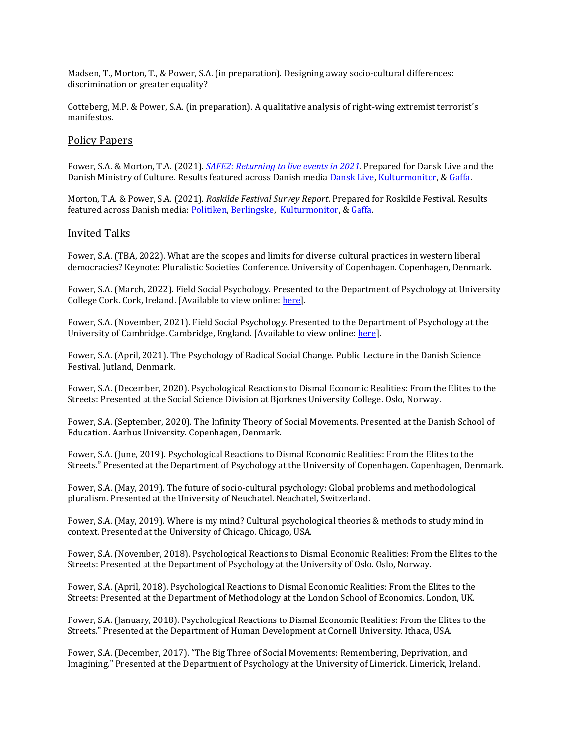Madsen, T., Morton, T., & Power, S.A. (in preparation). Designing away socio-cultural differences: discrimination or greater equality?

Gotteberg, M.P. & Power, S.A. (in preparation). A qualitative analysis of right-wing extremist terrorist´s manifestos.

## Policy Papers

Power, S.A. & Morton, T.A. (2021). *[SAFE2: Returning to live events in 2021](http://dansklive.dk/assets/Kultur_Idr%C3%A6t_under_pandemi-SAFE2_0.pdf)*. Prepared for Dansk Live and the Danish Ministry of Culture. Results featured across Danish media [Dansk Live,](http://dansklive.dk/artikler/ny-unders%C3%B8gelse-minimal-risiko-for-smitte-ved-kultur-og-idr%C3%A6tsbegivenheder/) [Kulturmonitor,](https://kulturmonitor.dk/kulturpolitik/art8612149/Nu-kommer-unders%C3%B8gelsen-der-viser-at-kulturlivet-ikke-havde-beh%C3%B8vet-at-lukke-s%C3%A5-massivt-ned) [& Gaffa.](https://gaffa.dk/nyhed/154910/ny-undersogelse-minimal-risiko-for-smitte-ved-kultur-og-idraetsbegivenheder)

Morton, T.A. & Power, S.A. (2021). *Roskilde Festival Survey Report*. Prepared for Roskilde Festival. Results featured across Danish media: [Politiken,](https://politiken.dk/kultur/musik/art8168296/Festivalgæster-er-klar-I-skal-bare-holde-jer-fra-vores-øl) [Berlingske,](https://www.berlingske.dk/aok/de-fleste-billetindehavere-onsker-ikke-krav-om-mundbind-pa-roskilde-festival) [Kulturmonitor,](https://kulturmonitor.dk/musik/art8368993/Roskildes-publikum-stoler-mere-p%C3%A5-festivalens-ledelse-end-p%C3%A5-politikerne-og-myndighederne) & Gaffa.

#### Invited Talks

Power, S.A. (TBA, 2022). What are the scopes and limits for diverse cultural practices in western liberal democracies? Keynote: Pluralistic Societies Conference. University of Copenhagen. Copenhagen, Denmark.

Power, S.A. (March, 2022). Field Social Psychology. Presented to the Department of Psychology at University College Cork. Cork, Ireland. [Available to view online[: here\]](https://www.youtube.com/watch?v=UCjYxqy_Gqw&t=7s).

Power, S.A. (November, 2021). Field Social Psychology. Presented to the Department of Psychology at the University of Cambridge. Cambridge, England. [Available to view online[: here\]](https://www.youtube.com/watch?v=g4uKOOAzISM).

Power, S.A. (April, 2021). The Psychology of Radical Social Change. Public Lecture in the Danish Science Festival. Jutland, Denmark.

Power, S.A. (December, 2020). Psychological Reactions to Dismal Economic Realities: From the Elites to the Streets: Presented at the Social Science Division at Bjorknes University College. Oslo, Norway.

Power, S.A. (September, 2020). The Infinity Theory of Social Movements. Presented at the Danish School of Education. Aarhus University. Copenhagen, Denmark.

Power, S.A. (June, 2019). Psychological Reactions to Dismal Economic Realities: From the Elites to the Streets." Presented at the Department of Psychology at the University of Copenhagen. Copenhagen, Denmark.

Power, S.A. (May, 2019). The future of socio-cultural psychology: Global problems and methodological pluralism. Presented at the University of Neuchatel. Neuchatel, Switzerland.

Power, S.A. (May, 2019). Where is my mind? Cultural psychological theories & methods to study mind in context. Presented at the University of Chicago. Chicago, USA.

Power, S.A. (November, 2018). Psychological Reactions to Dismal Economic Realities: From the Elites to the Streets: Presented at the Department of Psychology at the University of Oslo. Oslo, Norway.

Power, S.A. (April, 2018). Psychological Reactions to Dismal Economic Realities: From the Elites to the Streets: Presented at the Department of Methodology at the London School of Economics. London, UK.

Power, S.A. (January, 2018). Psychological Reactions to Dismal Economic Realities: From the Elites to the Streets." Presented at the Department of Human Development at Cornell University. Ithaca, USA.

Power, S.A. (December, 2017). "The Big Three of Social Movements: Remembering, Deprivation, and Imagining." Presented at the Department of Psychology at the University of Limerick. Limerick, Ireland.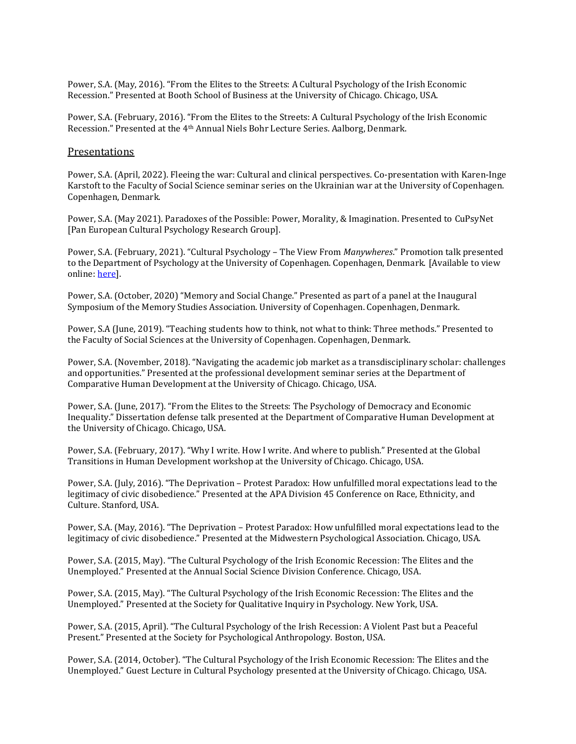Power, S.A. (May, 2016). "From the Elites to the Streets: A Cultural Psychology of the Irish Economic Recession." Presented at Booth School of Business at the University of Chicago. Chicago, USA.

Power, S.A. (February, 2016). "From the Elites to the Streets: A Cultural Psychology of the Irish Economic Recession." Presented at the 4th Annual Niels Bohr Lecture Series. Aalborg, Denmark.

#### Presentations

Power, S.A. (April, 2022). Fleeing the war: Cultural and clinical perspectives. Co-presentation with Karen-Inge Karstoft to the Faculty of Social Science seminar series on the Ukrainian war at the University of Copenhagen. Copenhagen, Denmark.

Power, S.A. (May 2021). Paradoxes of the Possible: Power, Morality, & Imagination. Presented to CuPsyNet [Pan European Cultural Psychology Research Group].

Power, S.A. (February, 2021). "Cultural Psychology – The View From *Manywheres*." Promotion talk presented to the Department of Psychology at the University of Copenhagen. Copenhagen, Denmark. [Available to view online: **here**].

Power, S.A. (October, 2020) "Memory and Social Change." Presented as part of a panel at the Inaugural Symposium of the Memory Studies Association. University of Copenhagen. Copenhagen, Denmark.

Power, S.A (June, 2019). "Teaching students how to think, not what to think: Three methods." Presented to the Faculty of Social Sciences at the University of Copenhagen. Copenhagen, Denmark.

Power, S.A. (November, 2018). "Navigating the academic job market as a transdisciplinary scholar: challenges and opportunities." Presented at the professional development seminar series at the Department of Comparative Human Development at the University of Chicago. Chicago, USA.

Power, S.A. (June, 2017). "From the Elites to the Streets: The Psychology of Democracy and Economic Inequality." Dissertation defense talk presented at the Department of Comparative Human Development at the University of Chicago. Chicago, USA.

Power, S.A. (February, 2017). "Why I write. How I write. And where to publish." Presented at the Global Transitions in Human Development workshop at the University of Chicago. Chicago, USA.

Power, S.A. (July, 2016). "The Deprivation – Protest Paradox: How unfulfilled moral expectations lead to the legitimacy of civic disobedience." Presented at the APA Division 45 Conference on Race, Ethnicity, and Culture. Stanford, USA.

Power, S.A. (May, 2016). "The Deprivation – Protest Paradox: How unfulfilled moral expectations lead to the legitimacy of civic disobedience." Presented at the Midwestern Psychological Association. Chicago, USA.

Power, S.A. (2015, May). "The Cultural Psychology of the Irish Economic Recession: The Elites and the Unemployed." Presented at the Annual Social Science Division Conference. Chicago, USA.

Power, S.A. (2015, May). "The Cultural Psychology of the Irish Economic Recession: The Elites and the Unemployed." Presented at the Society for Qualitative Inquiry in Psychology. New York, USA.

Power, S.A. (2015, April). "The Cultural Psychology of the Irish Recession: A Violent Past but a Peaceful Present." Presented at the Society for Psychological Anthropology. Boston, USA.

Power, S.A. (2014, October). "The Cultural Psychology of the Irish Economic Recession: The Elites and the Unemployed." Guest Lecture in Cultural Psychology presented at the University of Chicago. Chicago, USA.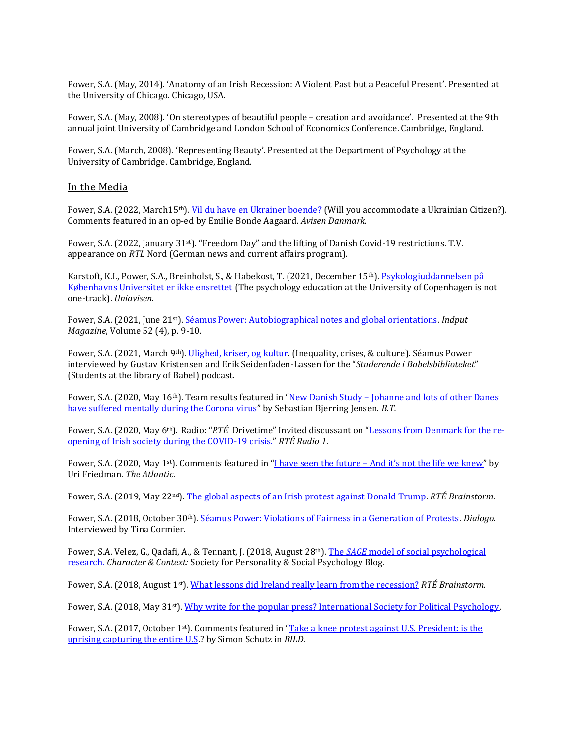Power, S.A. (May, 2014). 'Anatomy of an Irish Recession: A Violent Past but a Peaceful Present'. Presented at the University of Chicago. Chicago, USA.

Power, S.A. (May, 2008). 'On stereotypes of beautiful people – creation and avoidance'. Presented at the 9th annual joint University of Cambridge and London School of Economics Conference. Cambridge, England.

Power, S.A. (March, 2008). 'Representing Beauty'. Presented at the Department of Psychology at the University of Cambridge. Cambridge, England.

### In the Media

Power, S.A. (2022, March15<sup>th</sup>)[. Vil du have en Ukrainer boende?](https://avisendanmark.dk/artikel/vil-du-have-en-ukrainer-boende-overvej-om-du-er-klar-til-at-lukke-krigen-ind-i-din-stue-og-om-dit-internet-er-hurtigt-nok) (Will you accommodate a Ukrainian Citizen?). Comments featured in an op-ed by Emilie Bonde Aagaard. *Avisen Danmark*.

Power, S.A. (2022, January 31<sup>st</sup>). "Freedom Day" and the lifting of Danish Covid-19 restrictions. T.V. appearance on *RTL* Nord (German news and current affairs program).

Karstoft, K.I., Power, S.A., Breinholst, S., & Habekost, T. (2021, December 15th)[. Psykologiuddannelsen på](https://uniavisen.dk/ansatte-psykologiuddannelsen-paa-koebenhavns-universitet-er-ikke-ensrettet/)  [Københavns Universitet er ikke ensrettet](https://uniavisen.dk/ansatte-psykologiuddannelsen-paa-koebenhavns-universitet-er-ikke-ensrettet/) (The psychology education at the University of Copenhagen is not one-track). *Uniavisen*.

Power, S.A. (2021, June 21st). [Séamus Power: Autobiographical notes and global orientations.](https://static1.squarespace.com/static/59d641726f4ca3a1fbd2e73d/t/60d47cd50f1434216b51cb71/1624538331689/PA%CC%8A+DEN+ANDEN+SIDE.pdf) *Indput Magazine*, Volume 52 (4), p. 9-10.

Power, S.A. (2021, March 9<sup>th</sup>)[. Ulighed, kriser, og kultur.](https://open.spotify.com/episode/4wPcpLpUxb5D6mSznZGImp?fbclid=IwAR29Hqx-8pr5007i57D4Nsj4aZ7UpB3Fwi0er9qHFzgXujK-SMQBHRmFtUY) (Inequality, crises, & culture). Séamus Power interviewed by Gustav Kristensen and Erik Seidenfaden-Lassen for the "*Studerende i Babelsbiblioteket*" (Students at the library of Babel) podcast.

Power, S.A. (2020, May 16th). Team results featured in "New Danish Study – [Johanne and lots of other Danes](https://www.bt.dk/samfund/ny-dansk-undersoegelse-johanne-og-masser-af-andre-danskere-har-lidt-mentalt-under)  [have suffered mentally during the Corona virus](https://www.bt.dk/samfund/ny-dansk-undersoegelse-johanne-og-masser-af-andre-danskere-har-lidt-mentalt-under)" by Sebastian Bjerring Jensen. *B.T.*

Power, S.A. (2020, May 6<sup>th</sup>). Radio: "*RTÉ* Drivetime" Invited discussant on "[Lessons from Denmark for the re](/Users/seamuspower/Desktop/c.v./RTE%20DRIVETIME.m4a)[opening of Irish society during the COVID-19 crisis.](/Users/seamuspower/Desktop/c.v./RTE%20DRIVETIME.m4a)" *RTÉ Radio 1*.

Power, S.A. (2020, May 1<sup>st</sup>). Comments featured in "I have seen the future – [And it's not the life we knew"](https://www.theatlantic.com/politics/archive/2020/05/life-after-coronavirus-china-denmark-south-korea/611011/) by Uri Friedman. *The Atlantic*.

Power, S.A. (2019, May 22nd)[. The global aspects of an Irish protest against Donald Trump.](https://www.rte.ie/brainstorm/2019/0423/1045102-the-global-aspects-of-an-irish-protest-against-donald-trump/) *RTÉ Brainstorm.*

Power, S.A. (2018, October 30th). [Séamus Power: Violations of Fairness in a Generation of Protests.](https://dialogo.uchicago.edu/content/alumni-profile-seamus-power) *Dialogo*. Interviewed by Tina Cormier.

Power, S.A. Velez, G., Qadafi, A., & Tennant, J. (2018, August 28th). The *SAGE* [model of social psychological](http://www.spsp.org/news-center/blog/sage-model-of-social-psychological-research)  [research.](http://www.spsp.org/news-center/blog/sage-model-of-social-psychological-research) *Character & Context:* Society for Personality & Social Psychology Blog.

Power, S.A. (2018, August 1st)[. What lessons did Ireland really learn from the recession?](https://www.rte.ie/eile/brainstorm/2018/0731/982238-what-lessons-did-ireland-really-learn-from-the-recession/) *RTÉ Brainstorm.*

Power, S.A. (2018, May 31<sup>st</sup>). Why write for the popular press? International Society for Political Psychology.

Power, S.A. (2017, October 1<sup>st</sup>). Comments featured in "Take a knee protest against U.S. President: is the [uprising capturing the entire U.S.?](http://www.bild.de/politik/ausland/donald-trump/ist-er-der-gewinner-im-us-kultur-krieg-53358236.bild.html) by Simon Schutz in *BILD*.